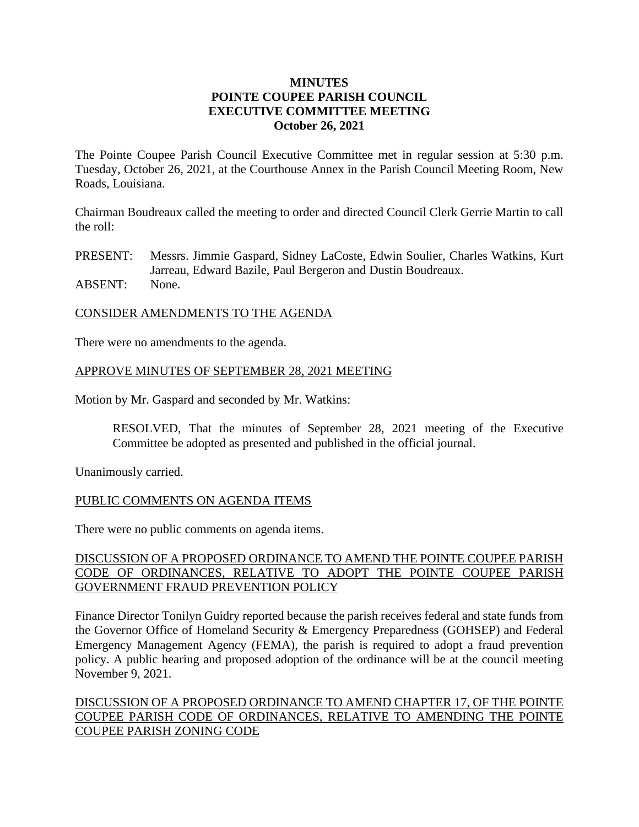## **MINUTES POINTE COUPEE PARISH COUNCIL EXECUTIVE COMMITTEE MEETING October 26, 2021**

The Pointe Coupee Parish Council Executive Committee met in regular session at 5:30 p.m. Tuesday, October 26, 2021, at the Courthouse Annex in the Parish Council Meeting Room, New Roads, Louisiana.

Chairman Boudreaux called the meeting to order and directed Council Clerk Gerrie Martin to call the roll:

PRESENT: Messrs. Jimmie Gaspard, Sidney LaCoste, Edwin Soulier, Charles Watkins, Kurt Jarreau, Edward Bazile, Paul Bergeron and Dustin Boudreaux.

ABSENT: None.

### CONSIDER AMENDMENTS TO THE AGENDA

There were no amendments to the agenda.

### APPROVE MINUTES OF SEPTEMBER 28, 2021 MEETING

Motion by Mr. Gaspard and seconded by Mr. Watkins:

RESOLVED, That the minutes of September 28, 2021 meeting of the Executive Committee be adopted as presented and published in the official journal.

Unanimously carried.

### PUBLIC COMMENTS ON AGENDA ITEMS

There were no public comments on agenda items.

## DISCUSSION OF A PROPOSED ORDINANCE TO AMEND THE POINTE COUPEE PARISH CODE OF ORDINANCES, RELATIVE TO ADOPT THE POINTE COUPEE PARISH GOVERNMENT FRAUD PREVENTION POLICY

Finance Director Tonilyn Guidry reported because the parish receives federal and state funds from the Governor Office of Homeland Security & Emergency Preparedness (GOHSEP) and Federal Emergency Management Agency (FEMA), the parish is required to adopt a fraud prevention policy. A public hearing and proposed adoption of the ordinance will be at the council meeting November 9, 2021.

# DISCUSSION OF A PROPOSED ORDINANCE TO AMEND CHAPTER 17, OF THE POINTE COUPEE PARISH CODE OF ORDINANCES, RELATIVE TO AMENDING THE POINTE COUPEE PARISH ZONING CODE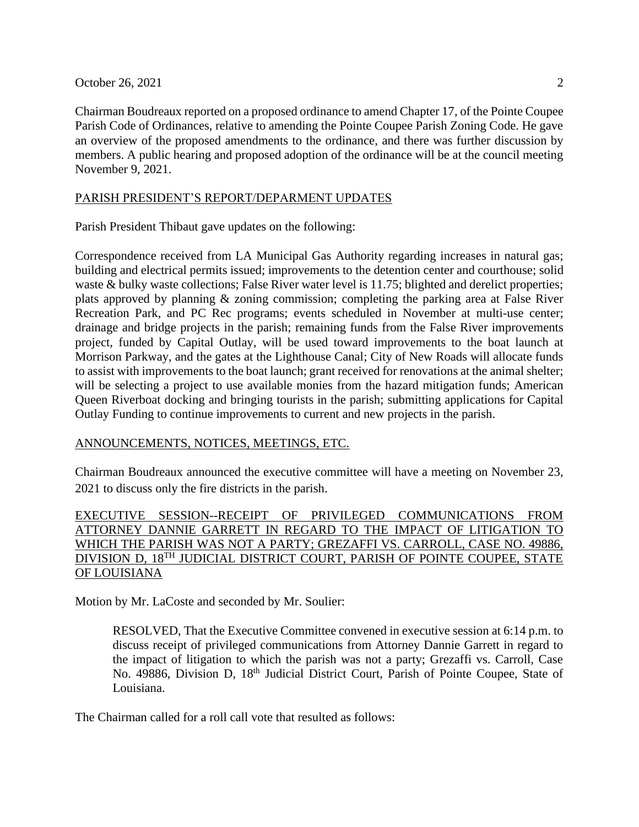October 26, 2021 2

Chairman Boudreaux reported on a proposed ordinance to amend Chapter 17, of the Pointe Coupee Parish Code of Ordinances, relative to amending the Pointe Coupee Parish Zoning Code. He gave an overview of the proposed amendments to the ordinance, and there was further discussion by members. A public hearing and proposed adoption of the ordinance will be at the council meeting November 9, 2021.

## PARISH PRESIDENT'S REPORT/DEPARMENT UPDATES

Parish President Thibaut gave updates on the following:

Correspondence received from LA Municipal Gas Authority regarding increases in natural gas; building and electrical permits issued; improvements to the detention center and courthouse; solid waste & bulky waste collections; False River water level is 11.75; blighted and derelict properties; plats approved by planning & zoning commission; completing the parking area at False River Recreation Park, and PC Rec programs; events scheduled in November at multi-use center; drainage and bridge projects in the parish; remaining funds from the False River improvements project, funded by Capital Outlay, will be used toward improvements to the boat launch at Morrison Parkway, and the gates at the Lighthouse Canal; City of New Roads will allocate funds to assist with improvements to the boat launch; grant received for renovations at the animal shelter; will be selecting a project to use available monies from the hazard mitigation funds; American Queen Riverboat docking and bringing tourists in the parish; submitting applications for Capital Outlay Funding to continue improvements to current and new projects in the parish.

### ANNOUNCEMENTS, NOTICES, MEETINGS, ETC.

Chairman Boudreaux announced the executive committee will have a meeting on November 23, 2021 to discuss only the fire districts in the parish.

# EXECUTIVE SESSION--RECEIPT OF PRIVILEGED COMMUNICATIONS FROM ATTORNEY DANNIE GARRETT IN REGARD TO THE IMPACT OF LITIGATION TO WHICH THE PARISH WAS NOT A PARTY; GREZAFFI VS. CARROLL, CASE NO. 49886, DIVISION D, 18TH JUDICIAL DISTRICT COURT, PARISH OF POINTE COUPEE, STATE OF LOUISIANA

Motion by Mr. LaCoste and seconded by Mr. Soulier:

RESOLVED, That the Executive Committee convened in executive session at 6:14 p.m. to discuss receipt of privileged communications from Attorney Dannie Garrett in regard to the impact of litigation to which the parish was not a party; Grezaffi vs. Carroll, Case No. 49886, Division D, 18<sup>th</sup> Judicial District Court, Parish of Pointe Coupee, State of Louisiana.

The Chairman called for a roll call vote that resulted as follows: